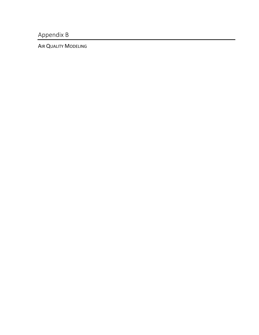Appendix B

AIR QUALITY MODELING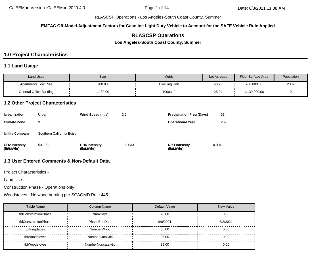**EMFAC Off-Model Adjustment Factors for Gasoline Light Duty Vehicle to Account for the SAFE Vehicle Rule Applied**

# **RLASCSP Operations**

**Los Angeles-South Coast County, Summer**

# **1.0 Project Characteristics**

### **1.1 Land Usage**

| Land Uses               | Size               | Metric        | Lot Acreage | Floor Surface Area | Population |
|-------------------------|--------------------|---------------|-------------|--------------------|------------|
| Apartments Low Rise     | 700.00<br>-------- | Dwelling Unit | 43.75       | 700,000.00         | 2002<br>.  |
| General Office Building | ,130.00            | 1000sqft      | 25.94       | .130,000.00        |            |

### **1.2 Other Project Characteristics**

| <b>Urbanization</b>               | Urban                      | Wind Speed (m/s)                  | 2.2   | <b>Precipitation Freg (Days)</b>        | 33    |
|-----------------------------------|----------------------------|-----------------------------------|-------|-----------------------------------------|-------|
| <b>Climate Zone</b>               | 9                          |                                   |       | <b>Operational Year</b>                 | 2023  |
| <b>Utility Company</b>            | Southern California Edison |                                   |       |                                         |       |
| <b>CO2 Intensity</b><br>(lb/MWhr) | 531.98                     | <b>CH4 Intensity</b><br>(lb/MWhr) | 0.033 | N <sub>2</sub> O Intensity<br>(lb/MWhr) | 0.004 |

# **1.3 User Entered Comments & Non-Default Data**

Project Characteristics -

Land Use -

Construction Phase - Operations only

Woodstoves - No wood burning per SCAQMD Rule 445

| <b>Table Name</b>    | <b>Column Name</b> | Default Value | <b>New Value</b> |
|----------------------|--------------------|---------------|------------------|
| tblConstructionPhase | <b>NumDays</b>     | 70.00         | 0.00             |
| tblConstructionPhase | PhaseEndDate       | 9/8/2021      | 6/2/2021         |
| tblFireplaces        | NumberWood         | 35.00         | 0.00             |
| tblWoodstoves        | NumberCatalytic    | 35.00         | 0.00             |
| tblWoodstoves        | NumberNoncatalytic | 35.00         | 0.00             |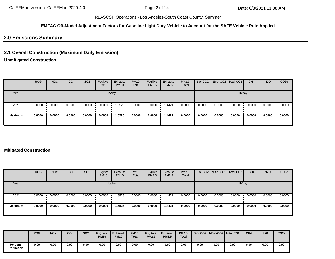### **EMFAC Off-Model Adjustment Factors for Gasoline Light Duty Vehicle to Account for the SAFE Vehicle Rule Applied**

## **2.0 Emissions Summary**

# **2.1 Overall Construction (Maximum Daily Emission)**

# **Unmitigated Construction**

|                | <b>ROG</b>            | <b>NO<sub>x</sub></b> | CO     | SO <sub>2</sub> | Fugitive<br><b>PM10</b> | Exhaust<br><b>PM10</b> | <b>PM10</b><br>Total | Fugitive<br>PM2.5 | Exhaust<br><b>PM2.5</b> | <b>PM2.5</b><br>Total |        | Bio- CO2 NBio- CO2 Total CO2 |        | CH <sub>4</sub> | <b>N2O</b> | CO <sub>2e</sub> |
|----------------|-----------------------|-----------------------|--------|-----------------|-------------------------|------------------------|----------------------|-------------------|-------------------------|-----------------------|--------|------------------------------|--------|-----------------|------------|------------------|
| Year           |                       |                       |        |                 |                         | lb/day                 |                      |                   |                         |                       |        |                              | lb/day |                 |            |                  |
| 2021           | $\blacksquare$ 0.0000 | 0.0000                | 0.0000 | 0.0000          | 0.0000                  | 1.5525                 | 0.0000               | 0.0000            | 1.4421                  | 0.0000                | 0.0000 | 0.0000                       | 0.0000 | 0.0000          | 0.0000     | 0.0000           |
| <b>Maximum</b> | 0.0000                | 0.0000                | 0.0000 | 0.0000          | 0.0000                  | 1.5525                 | 0.0000               | 0.0000            | 1.4421                  | 0.0000                | 0.0000 | 0.0000                       | 0.0000 | 0.0000          | 0.0000     | 0.0000           |

### **Mitigated Construction**

|                | <b>ROG</b>            | <b>NO<sub>x</sub></b> | CO     | SO <sub>2</sub> | Fugitive<br><b>PM10</b> | Exhaust<br><b>PM10</b> | <b>PM10</b><br>Total | Fugitive<br>PM2.5 | Exhaust<br><b>PM2.5</b> | <b>PM2.5</b><br>Total |        | Bio- CO2   NBio- CO2   Total CO2 |        | CH <sub>4</sub> | <b>N2O</b> | CO <sub>2e</sub> |
|----------------|-----------------------|-----------------------|--------|-----------------|-------------------------|------------------------|----------------------|-------------------|-------------------------|-----------------------|--------|----------------------------------|--------|-----------------|------------|------------------|
| Year           |                       |                       |        |                 |                         | lb/day                 |                      |                   |                         |                       |        |                                  |        | lb/day          |            |                  |
| 2021           | $\blacksquare$ 0.0000 | 0.0000                | 0.0000 | 0.0000          | 0.0000                  | 1.5525                 | 0.0000               | 0.0000            | 1.4421                  | 0.0000                | 0.0000 | 0.0000                           | 0.0000 | 0.0000          | 0.0000     | 0.0000           |
| <b>Maximum</b> | 0.0000                | 0.0000                | 0.0000 | 0.0000          | 0.0000                  | 1.5525                 | 0.0000               | 0.0000            | 1.4421                  | 0.0000                | 0.0000 | 0.0000                           | 0.0000 | 0.0000          | 0.0000     | 0.0000           |

|                             | <b>ROG</b> | <b>NOx</b> | CO   | <b>SO2</b> | <b>Fugitive</b><br><b>PM10</b> | <b>Exhaust</b><br><b>PM10</b> | <b>PM10</b><br>Total | <b>Fugitive</b><br><b>PM2.5</b> | <b>Exhaust</b><br><b>PM2.5</b> | <b>PM2.5</b><br><b>Total</b> |      |      | Bio- CO2   NBio-CO2   Total CO2 | CH <sub>4</sub> | <b>N20</b> | CO <sub>2e</sub> |
|-----------------------------|------------|------------|------|------------|--------------------------------|-------------------------------|----------------------|---------------------------------|--------------------------------|------------------------------|------|------|---------------------------------|-----------------|------------|------------------|
| Percent<br><b>Reduction</b> | 0.00       | 0.00       | 0.00 | 0.00       | 0.00                           | 0.00                          | 0.00                 | 0.00                            | 0.00                           | 0.00                         | 0.00 | 0.00 | 0.00                            | 0.00            | 0.00       | 0.00             |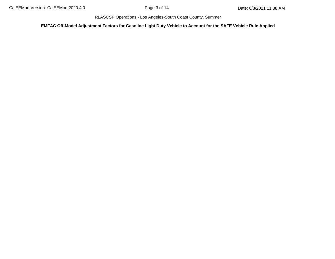**EMFAC Off-Model Adjustment Factors for Gasoline Light Duty Vehicle to Account for the SAFE Vehicle Rule Applied**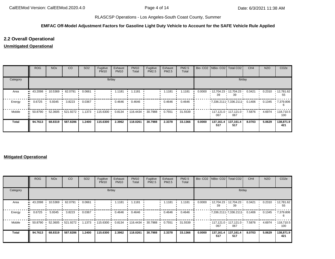### **EMFAC Off-Model Adjustment Factors for Gasoline Light Duty Vehicle to Account for the SAFE Vehicle Rule Applied**

## **2.2 Overall Operational**

## **Unmitigated Operational**

|          | <b>ROG</b>  | <b>NO<sub>x</sub></b> | <b>CO</b>        | SO <sub>2</sub> | Fugitive<br><b>PM10</b> | Exhaust<br><b>PM10</b> | <b>PM10</b><br>Total | Fugitive<br>PM2.5 | Exhaust<br>PM2.5 | PM2.5<br>Total |        |                  | Bio- CO2   NBio- CO2   Total CO2 | CH <sub>4</sub> | <b>N2O</b> | CO <sub>2e</sub>         |
|----------|-------------|-----------------------|------------------|-----------------|-------------------------|------------------------|----------------------|-------------------|------------------|----------------|--------|------------------|----------------------------------|-----------------|------------|--------------------------|
| Category |             |                       |                  |                 | lb/day                  |                        |                      |                   |                  |                |        |                  | lb/day                           |                 |            |                          |
| Area     | 43.2098     | 10.5369               | 62.0791          | 0.0661          |                         | 1.1181                 | 1.1181               |                   | 1.1181           | 1.1181         | 0.0000 | 39               | 12,704.23 12,704.23 '<br>39      | 0.3421          | 0.2310     | 12,781.62<br>55          |
| Energy   | 0.6725      | 5.9345                | 3.8223           | 0.0367          |                         | 0.4646                 | 0.4646               |                   | 0.4646           | 0.4646         |        |                  | $7,336.2111$ $7,336.2111$        | 0.1406          | 0.1345     | 1,379.806                |
| Mobile   | 50.8790<br> |                       | 52.3605 521.9272 | 1.1373          | $+115.6300$             | 0.8134                 | 116.4434             | 30.7988           | 0.7551           | 31.5539        |        | 067              | $117.121.0$ $117.121.0$<br>067   | 7.5876          | 4.6974     | $\cdot$ 118,710.5<br>100 |
| Total    | 94.7613     | 68.8319               | 587.8286         | 1.2400          | 115.6300                | 2.3962                 | 118.0261             | 30.7988           | 2.3378           | 33.1366        | 0.0000 | 137,161.4<br>517 | 137,161.4<br>517                 | 8.0703          | 5.0629     | 138,871.9<br>421         |

### **Mitigated Operational**

|          | ROG     | <b>NO<sub>x</sub></b> | CO               | SO <sub>2</sub> | Fugitive<br><b>PM10</b>  | Exhaust<br><b>PM10</b> | <b>PM10</b><br>Total | Fugitive<br>PM2.5 | Exhaust<br>PM2.5 | PM2.5<br>Total |        | Bio- CO2   NBio- CO2   Total CO2 |                                | CH <sub>4</sub>  | <b>N2O</b> | CO <sub>2e</sub>        |
|----------|---------|-----------------------|------------------|-----------------|--------------------------|------------------------|----------------------|-------------------|------------------|----------------|--------|----------------------------------|--------------------------------|------------------|------------|-------------------------|
| Category |         |                       |                  |                 | lb/day                   |                        |                      |                   |                  |                |        |                                  | lb/day                         |                  |            |                         |
| Area     | 43.2098 | 10.5369 ·             | 62.0791          | 0.0661          |                          | 1.1181                 | 1.1181               |                   | 1.1181           | 1.1181         | 0.0000 | 39                               | $12,704.23$ 12,704.23<br>39    | 0.3421           | 0.2310     | $\cdot$ 12,781.62<br>55 |
| Energy   | 0.6725  | 5.9345                | 3.8223           | 0.0367          |                          | 0.4646                 | 0.4646               |                   | 0.4646           | 0.4646         |        |                                  | $7,336.2111$ $7,336.2111$      | $0.1406$ $\cdot$ | 0.1345     | $\cdot 7,379.806$       |
| Mobile   | 50.8790 |                       | 52.3605 521.9272 | 1.1373          | $\cdot$ 115.6300 $\cdot$ | 0.8134                 | 116.4434             | 30.7988           | 0.7551           | 31.5539        |        | 067                              | $117.121.0$ $117.121.0$<br>067 | 7.5876           | 4.6974     | .118,710.5<br>100       |
| Total    | 94.7613 | 68.8319               | 587.8286         | 1.2400          | 115.6300                 | 2.3962                 | 118.0261             | 30.7988           | 2.3378           | 33.1366        | 0.0000 | 137,161.4<br>517                 | 137,161.4<br>517               | 8.0703           | 5.0629     | 138,871.9<br>421        |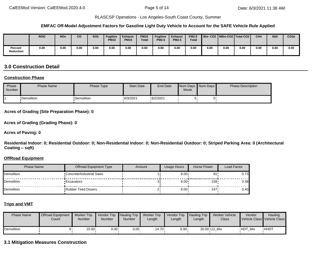#### **EMFAC Off-Model Adjustment Factors for Gasoline Light Duty Vehicle to Account for the SAFE Vehicle Rule Applied**

|                             | <b>ROG</b> | <b>NOx</b> | CO   | <b>SO2</b> | <b>Fugitive</b><br><b>PM10</b> | <b>Exhaust</b><br><b>PM10</b> | <b>PM10</b><br><b>Total</b> | <b>Fugitive</b><br><b>PM2.5</b> | <b>Exhaust</b><br><b>PM2.5</b> | <b>PM2.5</b><br><b>Total</b> |      |      | Bio-CO2   NBio-CO2   Total CO2 | CH <sub>4</sub> | <b>N20</b> | CO <sub>2e</sub> |
|-----------------------------|------------|------------|------|------------|--------------------------------|-------------------------------|-----------------------------|---------------------------------|--------------------------------|------------------------------|------|------|--------------------------------|-----------------|------------|------------------|
| Percent<br><b>Reduction</b> | 0.00       | 0.00       | 0.00 | 0.00       | 0.00                           | 0.00                          | 0.00                        | 0.00                            | 0.00                           | 0.00                         | 0.00 | 0.00 | 0.00                           | 0.00            | 0.00       | 0.00             |

# **3.0 Construction Detail**

### **Construction Phase**

| Phase<br><b>Number</b> | <b>Phase Name</b> | Phase Type  | <b>Start Date</b> | End Date | Week | Num Days Num Days | <b>Phase Description</b> |
|------------------------|-------------------|-------------|-------------------|----------|------|-------------------|--------------------------|
|                        | •Demolition       | •Demolition | .6/3/2021         | 6/2/2021 |      |                   |                          |

#### **Acres of Grading (Site Preparation Phase): 0**

**Acres of Grading (Grading Phase): 0**

#### **Acres of Paving: 0**

**Residential Indoor: 0; Residential Outdoor: 0; Non-Residential Indoor: 0; Non-Residential Outdoor: 0; Striped Parking Area: 0 (Architectural Coating – sqft)**

#### **OffRoad Equipment**

| Phase Name          | Offroad Equipment Type     | Amount | <b>Usage Hours</b> | Horse Power | Load Factor |
|---------------------|----------------------------|--------|--------------------|-------------|-------------|
| <b>I</b> Demolition | "Concrete/Industrial Saws  |        | $8.00 \cdot$       | 81          | 0.73        |
| <b>I</b> Demolition | <b>Excavators</b>          |        | $8.00 \cdot$       | $158 -$     | 0.381       |
| <b>I</b> Demolition | <b>Rubber Tired Dozers</b> |        | 8.00               | 247         | 0.40        |

#### **Trips and VMT**

| <b>Phase Name</b> | <b>Offroad Equipment</b><br>Count | <b>Worker Trip</b><br><b>Number</b> | Vendor Trip Hauling Trip<br>Number | <b>Number</b> | <b>Worker Trip</b><br>Length | Vendor Trip Hauling Trip<br>∟ength | Length | Worker Vehicle<br>Class | Vendor         | Hauling<br>Vehicle Class Vehicle Class |
|-------------------|-----------------------------------|-------------------------------------|------------------------------------|---------------|------------------------------|------------------------------------|--------|-------------------------|----------------|----------------------------------------|
| Demolition        |                                   | 15.00                               | $0.00 \cdot$                       | $0.00 \cdot$  | ∙14.70                       | 6.90 .                             |        | 20.00 LD Mix            | <b>HDT Mix</b> | <b>HHDT</b>                            |

### **3.1 Mitigation Measures Construction**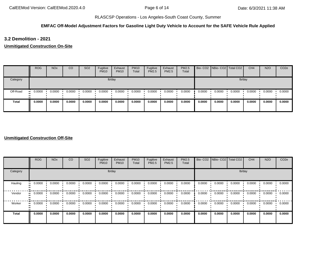### **EMFAC Off-Model Adjustment Factors for Gasoline Light Duty Vehicle to Account for the SAFE Vehicle Rule Applied**

**3.2 Demolition - 2021**

**Unmitigated Construction On-Site**

|              | <b>ROG</b> | <b>NO<sub>x</sub></b> | <sub>CO</sub> | SO <sub>2</sub> | Fugitive<br><b>PM10</b> | Exhaust<br><b>PM10</b> | <b>PM10</b><br>Total | Fugitive<br>PM2.5 | Exhaust<br>PM2.5 | PM2.5<br>Total |        | Bio- CO2   NBio- CO2   Total CO2 |        | CH <sub>4</sub> | <b>N2O</b> | CO <sub>2e</sub> |
|--------------|------------|-----------------------|---------------|-----------------|-------------------------|------------------------|----------------------|-------------------|------------------|----------------|--------|----------------------------------|--------|-----------------|------------|------------------|
| Category     |            |                       |               |                 |                         | lb/day                 |                      |                   |                  |                |        |                                  |        | lb/day          |            |                  |
| Off-Road     | 0.0000<br> | 0.0000                | 0.0000        | 0.0000          | 0.0000                  | 0.0000                 | 0.0000               | 0.0000            | 0.0000           | 0.0000         | 0.0000 | 0.0000                           | 0.0000 | 0.0000          | 0.0000     | 0.0000           |
| <b>Total</b> | 0.0000     | 0.0000                | 0.0000        | 0.0000          | 0.0000                  | 0.0000                 | 0.0000               | 0.0000            | 0.0000           | 0.0000         | 0.0000 | 0.0000                           | 0.0000 | 0.0000          | 0.0000     | 0.0000           |

### **Unmitigated Construction Off-Site**

|                     | <b>ROG</b> | <b>NO<sub>x</sub></b> | CO     | SO <sub>2</sub> | Fugitive<br><b>PM10</b> | Exhaust<br><b>PM10</b> | <b>PM10</b><br>Total | Fugitive<br>PM2.5 | Exhaust<br><b>PM2.5</b> | PM2.5<br>Total |        | Bio- CO2   NBio- CO2   Total CO2 |        | CH <sub>4</sub> | <b>N2O</b> | CO <sub>2e</sub> |
|---------------------|------------|-----------------------|--------|-----------------|-------------------------|------------------------|----------------------|-------------------|-------------------------|----------------|--------|----------------------------------|--------|-----------------|------------|------------------|
| Category            |            |                       |        |                 | lb/day                  |                        |                      |                   |                         |                |        |                                  | lb/day |                 |            |                  |
| Hauling<br>ш.       | 0.0000     | 0.0000                | 0.0000 | 0.0000          | 0.0000                  | 0.0000                 | 0.0000               | 0.0000            | 0.0000                  | 0.0000         | 0.0000 | 0.0000                           | 0.0000 | 0.0000          | 0.0000     | 0.0000           |
| Vendor<br>$\bullet$ | 0.0000     | 0.0000                | 0.0000 | 0.0000          | 0.0000                  | 0.0000                 | 0.0000               | 0.0000            | 0.0000                  | 0.0000         | 0.0000 | 0.0000                           | 0.0000 | 0.0000          | 0.0000     | 0.0000           |
| Worker              | 0.0000     | 0.0000                | 0.0000 | 0.0000          | 0.0000                  | 0.0000                 | 0.0000               | 0.0000            | 0.0000                  | 0.0000         | 0.0000 | 0.0000                           | 0.0000 | 0.0000          | 0.0000     | 0.0000           |
| Total               | 0.0000     | 0.0000                | 0.0000 | 0.0000          | 0.0000                  | 0.0000                 | 0.0000               | 0.0000            | 0.0000                  | 0.0000         | 0.0000 | 0.0000                           | 0.0000 | 0.0000          | 0.0000     | 0.0000           |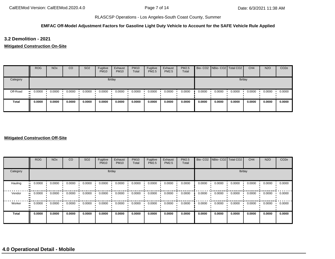### **EMFAC Off-Model Adjustment Factors for Gasoline Light Duty Vehicle to Account for the SAFE Vehicle Rule Applied**

**3.2 Demolition - 2021**

**Mitigated Construction On-Site**

|              | <b>ROG</b> | <b>NO<sub>x</sub></b> | CO     | SO <sub>2</sub> | Fugitive<br><b>PM10</b> | Exhaust<br><b>PM10</b> | <b>PM10</b><br>Total | Fugitive<br>PM2.5 | Exhaust<br><b>PM2.5</b> | <b>PM2.5</b><br>Total |        | Bio- CO2 NBio- CO2 Total CO2 |        | CH <sub>4</sub> | <b>N2O</b> | CO <sub>2e</sub> |
|--------------|------------|-----------------------|--------|-----------------|-------------------------|------------------------|----------------------|-------------------|-------------------------|-----------------------|--------|------------------------------|--------|-----------------|------------|------------------|
| Category     |            |                       |        |                 |                         | lb/day                 |                      |                   |                         |                       |        |                              | lb/day |                 |            |                  |
| Off-Road     | 0.0000<br> | 0.0000                | 0.0000 | 0.0000          | 0.0000                  | 0.0000                 | 0.0000               | 0.0000            | 0.0000                  | 0.0000                | 0.0000 | 0.0000                       | 0.0000 | 0.0000          | 0.0000     | 0.0000           |
| <b>Total</b> | 0.0000     | 0.0000                | 0.0000 | 0.0000          | 0.0000                  | 0.0000                 | 0.0000               | 0.0000            | 0.0000                  | 0.0000                | 0.0000 | 0.0000                       | 0.0000 | 0.0000          | 0.0000     | 0.0000           |

#### **Mitigated Construction Off-Site**

|                         | <b>ROG</b> | <b>NO<sub>x</sub></b> | CO     | SO <sub>2</sub> | Fugitive<br><b>PM10</b> | Exhaust<br><b>PM10</b> | <b>PM10</b><br>Total | Fugitive<br><b>PM2.5</b> | Exhaust<br>PM2.5 | <b>PM2.5</b><br>Total |        | Bio- CO2 NBio- CO2 Total CO2 |        | CH <sub>4</sub> | <b>N2O</b> | CO <sub>2e</sub> |
|-------------------------|------------|-----------------------|--------|-----------------|-------------------------|------------------------|----------------------|--------------------------|------------------|-----------------------|--------|------------------------------|--------|-----------------|------------|------------------|
| Category                |            |                       |        |                 |                         | lb/day                 |                      |                          |                  |                       |        |                              | lb/day |                 |            |                  |
| Hauling<br>$\mathbf{u}$ | 0.0000     | 0.0000                | 0.0000 | 0.0000          | 0.0000                  | 0.0000                 | 0.0000               | 0.0000                   | 0.0000           | 0.0000                | 0.0000 | 0.0000                       | 0.0000 | 0.0000          | 0.0000     | 0.0000           |
| Vendor                  | 0.0000     | 0.0000                | 0.0000 | 0.0000          | 0.0000                  | 0.0000                 | 0.0000               | 0.0000                   | 0.0000           | 0.0000                | 0.0000 | 0.0000                       | 0.0000 | 0.0000          | 0.0000     | 0.0000           |
| Worker<br>$\mathbf{u}$  | 0.0000     | 0.0000                | 0.0000 | 0.0000          | 0.0000                  | 0.0000                 | 0.0000               | 0.0000                   | 0.0000           | 0.0000                | 0.0000 | 0.0000                       | 0.0000 | 0.0000          | 0.0000     | 0.0000           |
| <b>Total</b>            | 0.0000     | 0.0000                | 0.0000 | 0.0000          | 0.0000                  | 0.0000                 | 0.0000               | 0.0000                   | 0.0000           | 0.0000                | 0.0000 | 0.0000                       | 0.0000 | 0.0000          | 0.0000     | 0.0000           |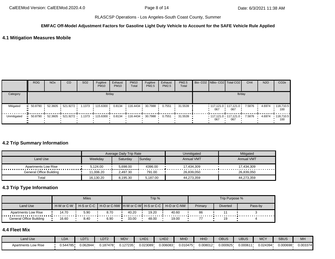#### **EMFAC Off-Model Adjustment Factors for Gasoline Light Duty Vehicle to Account for the SAFE Vehicle Rule Applied**

## **4.1 Mitigation Measures Mobile**

|             | <b>ROG</b> | <b>NO<sub>x</sub></b> | CO                               | SO <sub>2</sub> | Fugitive<br><b>PM10</b> | Exhaust<br><b>PM10</b> | <b>PM10</b><br>Total              | Fugitive<br>PM2.5 | Exhaust<br>PM2.5 | PM2.5<br>Total |     | Bio- CO2 NBio- CO2   Total CO2          | CH <sub>4</sub> | <b>N2O</b> | CO <sub>2e</sub>         |
|-------------|------------|-----------------------|----------------------------------|-----------------|-------------------------|------------------------|-----------------------------------|-------------------|------------------|----------------|-----|-----------------------------------------|-----------------|------------|--------------------------|
| Category    |            |                       |                                  |                 |                         | lb/day                 |                                   |                   |                  |                |     | lb/day                                  |                 |            |                          |
| Mitigated   | 50.8790 ·  |                       | 52.3605 521.9272 1.1373 115.6300 |                 |                         |                        | $0.8134$ 116.4434 30.7988         |                   | 0.7551           | 31.5539        | 067 | $117.121.0$ $117.121.0$<br>067          | 7.5876          | 4.6974     | .118,710.5<br>100        |
| Unmitigated | 50.8790 ·  |                       |                                  |                 |                         |                        | 0.8134  116.4434  30.7988  0.7551 |                   |                  | $-31.5539$     | 067 | $117.121.0$ $117.121.0$ $7.5876$<br>067 |                 | 4.6974     | $\cdot$ 118.710.5<br>100 |

#### **4.2 Trip Summary Information**

|                                       |           | Average Daily Trip Rate |          | Unmitigated       | Mitigated         |
|---------------------------------------|-----------|-------------------------|----------|-------------------|-------------------|
| Land Use                              | Weekdav   | Saturdav                | Sunday   | <b>Annual VMT</b> | <b>Annual VMT</b> |
| Apartments Low Rise<br><br>. <b>.</b> | 5.124.00  | 5.698.00                | 4396.00  | 17.434.309        | 17.434.309        |
| General Office Building               | 11.006.20 | 2.497.30                | 791.00   | 26.839.050        | 26.839.050        |
| Total                                 | 16,130.20 | 8,195.30                | 5,187.00 | 44,273,359        | 44,273,359        |

# **4.3 Trip Type Information**

|                         |            | <b>Miles</b>             |      |       | Trip % |                                                       |         | Trip Purpose %  |         |
|-------------------------|------------|--------------------------|------|-------|--------|-------------------------------------------------------|---------|-----------------|---------|
| Land Use                | H-W or C-W | $H-S$ or C-C $\parallel$ |      |       |        | ╹ Н-О or C-NW ┃H-W or C-W┃ H-S or C-C ┃ H-O or C-NW │ | Primary | <b>Diverted</b> | Pass-by |
| Apartments Low Rise     | 14.70      | 5.90                     | 8.70 | 40.20 | 19.20  | 40.60                                                 | 86      |                 |         |
| General Office Building | 16.60      | 8.40                     | 6.90 | 33.00 | 48.00  | 19.00                                                 |         | 19              |         |

## **4.4 Fleet Mix**

| Land Use                   | <b>LDA</b>   | LDT <sup>*</sup> | LDT <sub>2</sub> | <b>MDV</b> | _HD1     | 11D2<br>LHDZ | <b>MHD</b> | $\overline{1111}$<br>HHL | OBUS     | UBUS     | <b>MCY</b> | <b>SBUS</b> | MH       |
|----------------------------|--------------|------------------|------------------|------------|----------|--------------|------------|--------------------------|----------|----------|------------|-------------|----------|
| <b>Apartments Low Rise</b> | 44785<br>v.o | 0.062844         | J.187478         | .127235    | 0.023089 | J.006083     | 0.010475   | 0.008012                 | 0.000925 | 0.000611 | J.024394'  | 0.000698    | 0.003374 |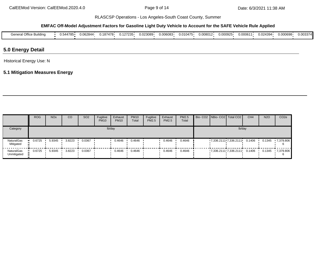#### **EMFAC Off-Model Adjustment Factors for Gasoline Light Duty Vehicle to Account for the SAFE Vehicle Rule Applied**

| $\sim$ $\sim$<br>.<br>ener.<br>Office Building | . .—~<br>J.544785. | 0.062844 | 0.187478 | 0.127235 | 0.023089 | 0.006083 | 0.010475 | 0.008012 | 0.000925 | 0.00061 | 0.024394 | ا 000698. | 0.003374 |
|------------------------------------------------|--------------------|----------|----------|----------|----------|----------|----------|----------|----------|---------|----------|-----------|----------|
|                                                |                    |          |          |          |          |          |          |          |          |         |          |           |          |

## **5.0 Energy Detail**

Historical Energy Use: N

# **5.1 Mitigation Measures Energy**

|                           | <b>ROG</b> | <b>NO<sub>x</sub></b> | CO     | SO <sub>2</sub> | Fugitive<br><b>PM10</b> | Exhaust<br><b>PM10</b> | <b>PM10</b><br>Total | Fugitive<br><b>PM2.5</b> | Exhaust<br>PM2.5 | <b>PM2.5</b><br>Total |  | Bio- CO2   NBio- CO2   Total CO2           | CH <sub>4</sub> | <b>N2O</b> | CO <sub>2e</sub> |
|---------------------------|------------|-----------------------|--------|-----------------|-------------------------|------------------------|----------------------|--------------------------|------------------|-----------------------|--|--------------------------------------------|-----------------|------------|------------------|
| Category                  |            |                       |        |                 |                         | lb/day                 |                      |                          |                  |                       |  | lb/day                                     |                 |            |                  |
| NaturalGas<br>Mitigated   | 0.6725     | 5.9345                | 3.8223 | 0.0367          |                         | 0.4646                 | 0.4646               |                          | 0.4646           | 0.4646                |  | $7,336.2111 \cdot 7,336.2111 \cdot 0.1406$ |                 | 0.1345     | 7,379.806        |
| NaturalGas<br>Unmitigated | 0.6725     | 5.9345                | 3.8223 | 0.0367          |                         | 0.4646                 | 0.4646               |                          | 0.4646           | 0.4646                |  | $7,336.2111 \cdot 7,336.2111 \cdot 0.1406$ |                 | 0.1345     | 7,379.806        |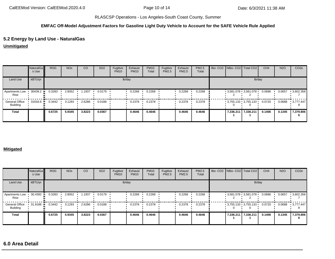### **EMFAC Off-Model Adjustment Factors for Gasoline Light Duty Vehicle to Account for the SAFE Vehicle Rule Applied**

# **5.2 Energy by Land Use - NaturalGas**

**Unmitigated**

|                            | NaturalGa<br>s Use | <b>ROG</b> | <b>NO<sub>x</sub></b> | CO     | SO <sub>2</sub> | Fugitive<br><b>PM10</b> | Exhaust<br><b>PM10</b> | <b>PM10</b><br>Total | Fugitive<br>PM2.5 | Exhaust<br>PM2.5 | PM2.5<br>Total | Bio- CO2   NBio- CO2   Total CO2 |        | CH <sub>4</sub> | <b>N2O</b> | CO <sub>2e</sub> |
|----------------------------|--------------------|------------|-----------------------|--------|-----------------|-------------------------|------------------------|----------------------|-------------------|------------------|----------------|----------------------------------|--------|-----------------|------------|------------------|
| Land Use                   | kBTU/yr            |            |                       |        |                 |                         | lb/day                 |                      |                   |                  |                |                                  | lb/day |                 |            |                  |
| Apartments Low<br>Rise     | 30439.2            | 0.3283     | 2.8052                | .1937  | 0.0179          |                         | 0.2268                 | 0.2268               |                   | 0.2268           | 0.2268         | $-3.581.078 + 3.581.078 +$       |        | 0.0686          | 0.0657     | $-3,602.358$     |
| General Office<br>Building | 31918.6            | 0.3442     | 3.1293                | 2.6286 | 0.0188          |                         | 0.2378                 | 0.2378               |                   | 0.2378           | 0.2378         | $-3,755.133 - 3,755.133 -$       |        | 0.0720          | 0.0688     | 3.777.447        |
| <b>Total</b>               |                    | 0.6725     | 5.9345                | 3.8223 | 0.0367          |                         | 0.4646                 | 0.4646               |                   | 0.4646           | 0.4646         | 7,336.211 7,336.211              |        | 0.1406          | 0.1345     | 7,379.806        |

#### **Mitigated**

|                                   | <b>NaturalGa</b><br>s Use | <b>ROG</b> | <b>NO<sub>x</sub></b> | CO     | SO <sub>2</sub> | Fugitive<br><b>PM10</b> | Exhaust<br><b>PM10</b> | <b>PM10</b><br>Total | Fugitive<br>PM2.5 | Exhaust<br><b>PM2.5</b> | PM2.5<br>Total | Bio- CO2   NBio- CO2   Total CO2 |        | CH <sub>4</sub> | <b>N2O</b> | CO <sub>2e</sub> |
|-----------------------------------|---------------------------|------------|-----------------------|--------|-----------------|-------------------------|------------------------|----------------------|-------------------|-------------------------|----------------|----------------------------------|--------|-----------------|------------|------------------|
| Land Use                          | kBTU/yr                   |            |                       |        |                 |                         | lb/day                 |                      |                   |                         |                |                                  | lb/day |                 |            |                  |
| Apartments Low<br>Rise            | 30.4392                   | 0.3283     | 2.8052                | 1.1937 | 0.0179          |                         | 0.2268                 | 0.2268               |                   | 0.2268                  | 0.2268         | $-3.581.078 + 3.581.078 +$       |        | 0.0686          | 0.0657     | 3,602.358        |
| <b>General Office</b><br>Building | 31.9186 +                 | 0.3442     | 3.1293                | 2.6286 | 0.0188          |                         | 0.2378                 | 0.2378               |                   | 0.2378                  | 0.2378         | $-3,755.133 - 3,755.133$         |        | 0.0720          | 0.0688     | $-3.777.447$     |
| <b>Total</b>                      |                           | 0.6725     | 5.9345                | 3.8223 | 0.0367          |                         | 0.4646                 | 0.4646               |                   | 0.4646                  | 0.4646         | 7,336.211 7,336.211              |        | 0.1406          | 0.1345     | 7,379.806        |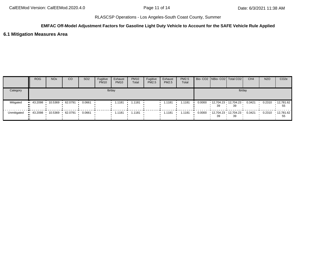## **EMFAC Off-Model Adjustment Factors for Gasoline Light Duty Vehicle to Account for the SAFE Vehicle Rule Applied**

### **6.1 Mitigation Measures Area**

|             | <b>ROG</b>             | <b>NO<sub>x</sub></b> | CO        | SO <sub>2</sub> | Fugitive<br><b>PM10</b> | Exhaust<br><b>PM10</b> | <b>PM10</b><br>Total | Fugitive<br><b>PM2.5</b> | Exhaust<br><b>PM2.5</b> | PM2.5<br>Total | Bio- CO2 NBio- CO2 Total CO2      |        | CH <sub>4</sub> | <b>N2O</b> | CO <sub>2</sub> e       |
|-------------|------------------------|-----------------------|-----------|-----------------|-------------------------|------------------------|----------------------|--------------------------|-------------------------|----------------|-----------------------------------|--------|-----------------|------------|-------------------------|
| Category    |                        |                       |           |                 |                         | lb/day                 |                      |                          |                         |                |                                   | lb/day |                 |            |                         |
| Mitigated   | $\blacksquare$ 43.2098 | 10.5369 ·             | 62.0791   | 0.0661          |                         | 1.1181                 | 1.1181               |                          | 1.1181                  | 1.1181         | 0.0000 12.704.23 12.704.23 0.3421 | 39     |                 | 0.2310     | $\cdot$ 12,781.62<br>55 |
| Unmitigated | 43.2098                | 10.5369               | 62.0791 • | 0.0661          |                         | $1.1181$ $1.1181$      |                      |                          | 1.1181                  | 1.1181         | 39                                | 39     |                 | 0.2310     | ▪ 12,781.62丨<br>55      |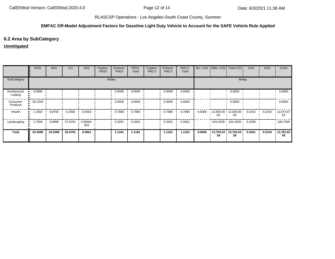### **EMFAC Off-Model Adjustment Factors for Gasoline Light Duty Vehicle to Account for the SAFE Vehicle Rule Applied**

# **6.2 Area by SubCategory**

## **Unmitigated**

|                          | <b>ROG</b> | <b>NO<sub>x</sub></b> | CO      | SO <sub>2</sub>                 | Fugitive<br><b>PM10</b> | Exhaust<br><b>PM10</b> | <b>PM10</b><br>Total | Fugitive<br>PM2.5 | Exhaust<br>PM2.5 | PM2.5<br>Total |        | Bio- CO2   NBio- CO2   Total CO2 |                            | CH <sub>4</sub>   | <b>N2O</b> | CO <sub>2e</sub>        |
|--------------------------|------------|-----------------------|---------|---------------------------------|-------------------------|------------------------|----------------------|-------------------|------------------|----------------|--------|----------------------------------|----------------------------|-------------------|------------|-------------------------|
| SubCategory              |            |                       |         |                                 |                         | lb/day                 |                      |                   |                  |                |        |                                  | lb/day                     |                   |            |                         |
| Architectural<br>Coating | 4.0699     |                       |         |                                 |                         | 0.0000                 | 0.0000               |                   | 0.0000           | 0.0000         |        |                                  | 0.0000                     |                   |            | 0.0000                  |
| Consumer<br>Products     | 36.2340    |                       |         |                                 |                         | 0.0000                 | 0.0000               |                   | 0.0000           | 0.0000         |        |                                  | 0.0000                     |                   |            | 0.0000                  |
| Hearth                   | 1.1550     | 9.8700                | 4.2000  | 0.0630                          |                         | 0.7980                 | 0.7980               |                   | 0.7980           | 0.7980         | 0.0000 | $12,600.00$ 12,600.00<br>00      | 00                         | $0.2415$ $0.2310$ |            | $\cdot$ 12,674.87<br>55 |
| Landscaping              | 1.7509     | 0.6669                | 57.8791 | $\cdot$ 3.0600e- $\cdot$<br>003 |                         | 0.3201                 | 0.3201               |                   | 0.3201           | 0.3201         |        |                                  | 104.2339 104.2339 0.1006 ' |                   |            | .106.7500               |
| <b>Total</b>             | 43.2098    | 10.5369               | 62.0791 | 0.0661                          |                         | 1.1181                 | 1.1181               |                   | 1.1181           | 1.1181         | 0.0000 | 12,704.23<br>39                  | 12,704.23<br>39            | 0.3421            | 0.2310     | 12,781.62<br>55         |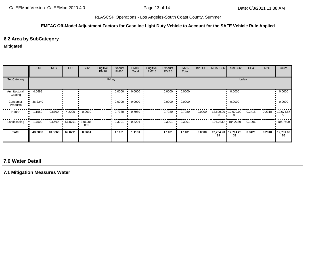### **EMFAC Off-Model Adjustment Factors for Gasoline Light Duty Vehicle to Account for the SAFE Vehicle Rule Applied**

# **6.2 Area by SubCategory**

#### **Mitigated**

|                          | <b>ROG</b> | <b>NO<sub>x</sub></b> | CO      | SO <sub>2</sub>    | Fugitive<br><b>PM10</b> | Exhaust<br><b>PM10</b> | <b>PM10</b><br>Total | Fugitive<br>PM2.5 | Exhaust<br><b>PM2.5</b> | PM2.5<br>Total |        |                 | Bio- CO2   NBio- CO2   Total CO2 | CH <sub>4</sub>  | <b>N2O</b> | CO <sub>2e</sub>        |
|--------------------------|------------|-----------------------|---------|--------------------|-------------------------|------------------------|----------------------|-------------------|-------------------------|----------------|--------|-----------------|----------------------------------|------------------|------------|-------------------------|
| SubCategory              |            |                       |         |                    |                         | lb/day                 |                      |                   |                         |                |        |                 | lb/day                           |                  |            |                         |
| Architectural<br>Coating | 4.0699     |                       |         |                    |                         | 0.0000                 | 0.0000               |                   | 0.0000                  | 0.0000         |        |                 | 0.0000                           |                  |            | 0.0000                  |
| Consumer<br>Products     | 36.2340    |                       |         |                    |                         | 0.0000                 | 0.0000               |                   | 0.0000                  | 0.0000         |        |                 | 0.0000                           |                  |            | 0.0000                  |
| Hearth                   | 1.1550     | 9.8700                | 4.2000  | 0.0630             |                         | 0.7980                 | 0.7980               |                   | 0.7980                  | 0.7980         | 0.0000 | 00              | $12,600.00$ $12,600.00$<br>00    | $0.2415$ $\cdot$ | 0.2310     | $\cdot$ 12,674.87<br>55 |
| Landscaping              | 1.7509     | 0.6669                | 57.8791 | $3.0600e -$<br>003 |                         | 0.3201                 | 0.3201               |                   | 0.3201                  | 0.3201         |        |                 |                                  | 0.1006           |            | $\cdot$ 106.7500        |
| <b>Total</b>             | 43.2098    | 10.5369               | 62.0791 | 0.0661             |                         | 1.1181                 | 1.1181               |                   | 1.1181                  | 1.1181         | 0.0000 | 12,704.23<br>39 | 12,704.23<br>39                  | 0.3421           | 0.2310     | 12,781.62<br>55         |

# **7.0 Water Detail**

**7.1 Mitigation Measures Water**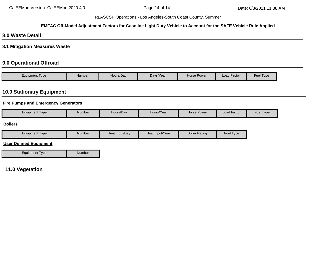### **EMFAC Off-Model Adjustment Factors for Gasoline Light Duty Vehicle to Account for the SAFE Vehicle Rule Applied**

## **8.0 Waste Detail**

**8.1 Mitigation Measures Waste**

# **9.0 Operational Offroad**

| Equipment Type | Number | Hours/Day | Days/Year | Horse Power | ∟oad Factor | <b>Fuel Type</b> |
|----------------|--------|-----------|-----------|-------------|-------------|------------------|

# **10.0 Stationary Equipment**

### **Fire Pumps and Emergency Generators**

| $\overline{\phantom{0}}$<br>Equipment Type | Number | Hours/Day | Hours/Year | Horse Power | . .<br>Factor<br>∟oad | Fuel<br>l I vpe |
|--------------------------------------------|--------|-----------|------------|-------------|-----------------------|-----------------|
|                                            |        |           |            |             |                       |                 |

### **Boilers**

| <b>I</b> vpe<br><b>Equipment</b> | Number | .∢Input/Dav<br>⊣eat | Heat Input/Year | <b>Boiler Rating</b> | Fue<br>I ype |
|----------------------------------|--------|---------------------|-----------------|----------------------|--------------|
|                                  |        |                     |                 |                      |              |

### **User Defined Equipment**

Equipment Type Number

## **11.0 Vegetation**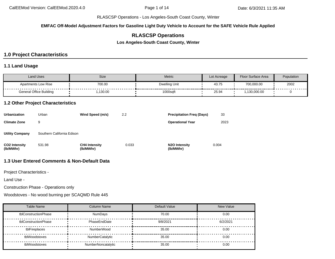**EMFAC Off-Model Adjustment Factors for Gasoline Light Duty Vehicle to Account for the SAFE Vehicle Rule Applied**

# **RLASCSP Operations**

**Los Angeles-South Coast County, Winter**

# **1.0 Project Characteristics**

### **1.1 Land Usage**

| <b>Land Uses</b>               | Size    | <b>Metric</b> | Lot Acreage | Floor Surface Area | Population |
|--------------------------------|---------|---------------|-------------|--------------------|------------|
| <b>Apartments Low Rise</b>     | 700.00  | Dwelling Unit | 43.75       | 700,000.00         | 2002       |
| <b>General Office Building</b> | ,130.00 | 1000sqft      | 25.94       | .130.000.00        |            |

### **1.2 Other Project Characteristics**

| <b>Urbanization</b>               | Urban                      | Wind Speed (m/s)                  | 2.2   | <b>Precipitation Freg (Days)</b>        | 33    |
|-----------------------------------|----------------------------|-----------------------------------|-------|-----------------------------------------|-------|
| <b>Climate Zone</b>               | 9                          |                                   |       | <b>Operational Year</b>                 | 2023  |
| <b>Utility Company</b>            | Southern California Edison |                                   |       |                                         |       |
| <b>CO2 Intensity</b><br>(lb/MWhr) | 531.98                     | <b>CH4 Intensity</b><br>(lb/MWhr) | 0.033 | N <sub>2</sub> O Intensity<br>(lb/MWhr) | 0.004 |

# **1.3 User Entered Comments & Non-Default Data**

Project Characteristics -

Land Use -

Construction Phase - Operations only

Woodstoves - No wood burning per SCAQMD Rule 445

| <b>Table Name</b>    | <b>Column Name</b> | Default Value | <b>New Value</b> |
|----------------------|--------------------|---------------|------------------|
| tblConstructionPhase | NumDays            | 70.00         | 0.00             |
| tblConstructionPhase | PhaseEndDate       | 9/8/2021      | 6/2/2021         |
| tblFireplaces        | NumberWood         | 35.00         | 0.00             |
| tblWoodstoves        | NumberCatalytic    | 35.00         | 0.00             |
| tblWoodstoves        | NumberNoncatalytic | 35.00         | 0.00             |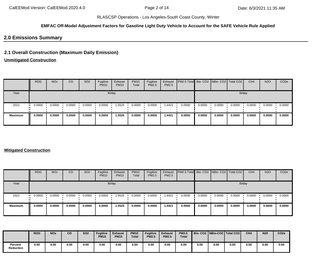### **EMFAC Off-Model Adjustment Factors for Gasoline Light Duty Vehicle to Account for the SAFE Vehicle Rule Applied**

## **2.0 Emissions Summary**

# **2.1 Overall Construction (Maximum Daily Emission)**

# **Unmitigated Construction**

|                | <b>ROG</b>            | <b>NO<sub>x</sub></b> | CO     | SO <sub>2</sub> | Fugitive<br><b>PM10</b> | Exhaust<br><b>PM10</b> | <b>PM10</b><br>Total | Fugitive<br>PM2.5 | Exhaust<br><b>PM2.5</b> | <b>PM2.5 Total</b> Bio- CO2 NBio- CO2 Total CO2 |        |        |        | CH <sub>4</sub> | <b>N2O</b> | CO <sub>2e</sub> |
|----------------|-----------------------|-----------------------|--------|-----------------|-------------------------|------------------------|----------------------|-------------------|-------------------------|-------------------------------------------------|--------|--------|--------|-----------------|------------|------------------|
| Year           |                       |                       |        |                 |                         | lb/day                 |                      |                   |                         |                                                 |        |        |        | lb/day          |            |                  |
| 2021           | $\blacksquare$ 0.0000 | 0.0000                | 0.0000 | 0.0000          | 0.0000                  | 1.5525                 | 0.0000               | 0.0000            | 1.4421                  | 0.0000                                          | 0.0000 | 0.0000 | 0.0000 | 0.0000          | 0.0000     | 0.0000           |
| <b>Maximum</b> | 0.0000                | 0.0000                | 0.0000 | 0.0000          | 0.0000                  | 1.5525                 | 0.0000               | 0.0000            | 1.4421                  | 0.0000                                          | 0.0000 | 0.0000 | 0.0000 | 0.0000          | 0.0000     | 0.0000           |

### **Mitigated Construction**

|                | <b>ROG</b>            | <b>NO<sub>x</sub></b> | CO     | SO <sub>2</sub> | Fugitive<br><b>PM10</b> | Exhaust<br><b>PM10</b> | <b>PM10</b><br>Total | Fugitive<br>PM2.5 | Exhaust<br><b>PM2.5</b> | <b>PM2.5 Total</b> Bio- CO2 NBio- CO2 Total CO2 |        |        |        | CH <sub>4</sub> | <b>N2O</b> | CO <sub>2e</sub> |
|----------------|-----------------------|-----------------------|--------|-----------------|-------------------------|------------------------|----------------------|-------------------|-------------------------|-------------------------------------------------|--------|--------|--------|-----------------|------------|------------------|
| Year           |                       |                       |        |                 | lb/day                  |                        |                      |                   |                         |                                                 |        |        | lb/day |                 |            |                  |
| 2021           | $\blacksquare$ 0.0000 | 0.0000                | 0.0000 | 0.0000          | 0.0000                  | 1.5525                 | 0.0000               | 0.0000            | 1.4421                  | 0.0000                                          | 0.0000 | 0.0000 | 0.0000 | 0.0000          | 0.0000     | 0.0000           |
| <b>Maximum</b> | 0.0000                | 0.0000                | 0.0000 | 0.0000          | 0.0000                  | 1.5525                 | 0.0000               | 0.0000            | 1.4421                  | 0.0000                                          | 0.0000 | 0.0000 | 0.0000 | 0.0000          | 0.0000     | 0.0000           |

|                             | <b>ROG</b> | <b>NO<sub>x</sub></b> | CO   | <b>SO2</b> | <b>Fugitive</b><br><b>PM10</b> | <b>Exhaust</b><br><b>PM10</b> | <b>PM10</b><br><b>Total</b> | <b>Fugitive</b><br><b>PM2.5</b> | <b>Exhaust</b><br><b>PM2.5</b> | <b>PM2.5</b><br><b>Total</b> | Bio- CO2   NBio-CO2   Total CO2 |      |      | CH <sub>4</sub> | <b>N20</b> | CO <sub>2e</sub> |
|-----------------------------|------------|-----------------------|------|------------|--------------------------------|-------------------------------|-----------------------------|---------------------------------|--------------------------------|------------------------------|---------------------------------|------|------|-----------------|------------|------------------|
| Percent<br><b>Reduction</b> | 0.00       | 0.00                  | 0.00 | 0.00       | 0.00                           | 0.00                          | 0.00                        | 0.00                            | 0.00                           | 0.00                         | 0.00                            | 0.00 | 0.00 | 0.00            | 0.00       | 0.00             |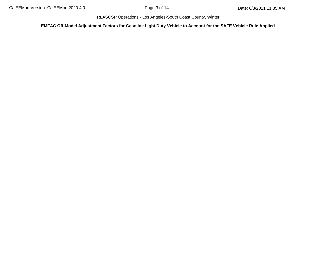**EMFAC Off-Model Adjustment Factors for Gasoline Light Duty Vehicle to Account for the SAFE Vehicle Rule Applied**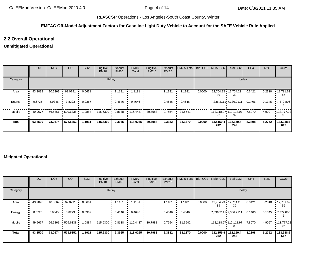### **EMFAC Off-Model Adjustment Factors for Gasoline Light Duty Vehicle to Account for the SAFE Vehicle Rule Applied**

## **2.2 Overall Operational**

## **Unmitigated Operational**

|              | <b>ROG</b>    | <b>NO<sub>x</sub></b> | <b>CO</b>   | SO <sub>2</sub> | Fugitive<br><b>PM10</b> | Exhaust<br><b>PM10</b> | <b>PM10</b><br>Total     | Fugitive<br>PM2.5 | Exhaust<br>PM2.5 | PM2.5 Total Bio- CO2 NBio- CO2 Total CO2 |        |                  |                               | CH <sub>4</sub> | <b>N2O</b> | CO <sub>2e</sub> |
|--------------|---------------|-----------------------|-------------|-----------------|-------------------------|------------------------|--------------------------|-------------------|------------------|------------------------------------------|--------|------------------|-------------------------------|-----------------|------------|------------------|
| Category     |               |                       |             |                 | lb/day                  |                        |                          |                   |                  |                                          |        |                  | lb/day                        |                 |            |                  |
| Area         | 43.2098       | 10.5369               | 62.0791     | 0.0661          |                         | 1.1181                 | 1.1181                   |                   | 1.1181           | 1.1181                                   | 0.0000 | 39               | 12,704.23 12,704.23 '<br>39   | 0.3421          | 0.2310     | 12,781.62<br>55  |
| Energy       | 0.6725        | 5.9345                | 3.8223      | 0.0367          |                         | 0.4646                 | 0.4646                   |                   | 0.4646           | 0.4646                                   |        |                  | $7,336.2111$ $7,336.2111$     | 0.1406          | 0.1345     | 1,379.806        |
| Mobile       | 49.9677<br>ш. | 56.5861               | $-509.6338$ | 1.0884          | $+115.6300$             | 0.8138                 | $\cdot$ 116.4437 $\cdot$ | 30.7988           | 0.7554           | 31.5542                                  |        | 92               | $112,118.97$ 112,118.97<br>92 | 7.8070          | 4.9097     | 113,777.22<br>96 |
| <b>Total</b> | 93.8500       | 73.0574               | 575.5352    | 1.1911          | 115,6300                | 2.3965                 | 118.0265                 | 30.7988           | 2.3382           | 33.1370                                  | 0.0000 | 132,159.4<br>242 | 132,159.4<br>242              | 8.2898          | 5.2752     | 133,938.6<br>617 |

### **Mitigated Operational**

|          | <b>ROG</b>  | <b>NO<sub>x</sub></b> | CO        | SO <sub>2</sub> | Fugitive<br><b>PM10</b> | Exhaust<br><b>PM10</b> | <b>PM10</b><br>Total | Fugitive<br>PM2.5 | Exhaust<br>PM2.5 | PM2.5 Total Bio- CO2 NBio- CO2 Total CO2 |        |                                 |                  | CH <sub>4</sub>  | <b>N2O</b> | CO <sub>2e</sub> |
|----------|-------------|-----------------------|-----------|-----------------|-------------------------|------------------------|----------------------|-------------------|------------------|------------------------------------------|--------|---------------------------------|------------------|------------------|------------|------------------|
| Category |             |                       |           |                 | lb/day                  |                        |                      |                   |                  |                                          |        |                                 | lb/day           |                  |            |                  |
| Area     | 43.2098<br> | 10.5369 ·             | 62.0791   | 0.0661          |                         | 1.1181                 | 1.1181               |                   | 1.1181           | 1.1181                                   | 0.0000 | $12,704.23$ 12,704.23<br>39     | 39               | 0.3421           | 0.2310     | 12,781.62<br>55  |
| Energy   | 0.6725<br>  | 5.9345                | 3.8223    | 0.0367          |                         | 0.4646                 | 0.4646               |                   | 0.4646           | 0.4646                                   |        | $7,336.2111$ $7,336.2111$       |                  | $0.1406$ $\cdot$ | 0.1345     | .7,379.806       |
| Mobile   | $-49.9677$  | 56.5861               | .509.6338 | 1.0884          | $+115.6300$             | 0.8138                 | 116.4437             | 30.7988           | 0.7554           | 31.5542                                  |        | $112,118.97$ , 112,118.97<br>92 | 92               | 7.8070           | 4.9097     | 113,777.22<br>96 |
| Total    | 93.8500     | 73.0574               | 575.5352  | 1.1911          | 115.6300                | 2.3965                 | 118.0265             | 30.7988           | 2.3382           | 33.1370                                  | 0.0000 | 132,159.4<br>242                | 132,159.4<br>242 | 8.2898           | 5.2752     | 133,938.6<br>617 |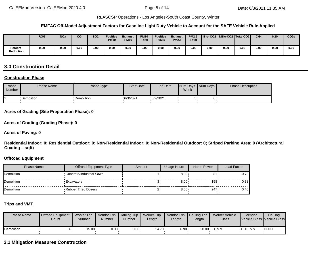#### **EMFAC Off-Model Adjustment Factors for Gasoline Light Duty Vehicle to Account for the SAFE Vehicle Rule Applied**

|                             | <b>ROG</b> | <b>NOx</b> | CO   | <b>SO2</b> | <b>Fugitive</b><br><b>PM10</b> | <b>Exhaust</b><br><b>PM10</b> | <b>PM10</b><br><b>Total</b> | <b>Fugitive</b><br><b>PM2.5</b> | <b>Exhaust</b><br><b>PM2.5</b> | <b>PM2.5</b><br><b>Total</b> |      |      | Bio-CO2   NBio-CO2   Total CO2 | CH <sub>4</sub> | <b>N20</b> | CO <sub>2e</sub> |
|-----------------------------|------------|------------|------|------------|--------------------------------|-------------------------------|-----------------------------|---------------------------------|--------------------------------|------------------------------|------|------|--------------------------------|-----------------|------------|------------------|
| Percent<br><b>Reduction</b> | 0.00       | 0.00       | 0.00 | 0.00       | 0.00                           | 0.00                          | 0.00                        | 0.00                            | 0.00                           | 0.00                         | 0.00 | 0.00 | 0.00                           | 0.00            | 0.00       | 0.00             |

# **3.0 Construction Detail**

### **Construction Phase**

| Phase<br>Number | <b>Phase Name</b> | Phase Type  | <b>Start Date</b> | End Date | Week | Num Days Num Days | <b>Phase Description</b> |
|-----------------|-------------------|-------------|-------------------|----------|------|-------------------|--------------------------|
|                 | •Demolition       | •Demolition | 6/3/2021          | 6/2/2021 | ़    |                   |                          |

**Acres of Grading (Site Preparation Phase): 0**

**Acres of Grading (Grading Phase): 0**

**Acres of Paving: 0**

**Residential Indoor: 0; Residential Outdoor: 0; Non-Residential Indoor: 0; Non-Residential Outdoor: 0; Striped Parking Area: 0 (Architectural Coating – sqft)**

#### **OffRoad Equipment**

| Phase Name | Offroad Equipment Type     | Amount | Usage Hours  | Horse Power      | Load Factor |
|------------|----------------------------|--------|--------------|------------------|-------------|
| Demolition | •Concrete/Industrial Saws  |        | $8.00 \div$  | 81               | 0.731       |
| Demolition | <b>Excavators</b>          |        | $8.00 \cdot$ | 158 <sup>1</sup> | 0.38        |
| Demolition | <b>Rubber Tired Dozers</b> |        | $8.00 \cdot$ | 247.             | 0.40        |

### **Trips and VMT**

| <b>Phase Name</b> | <b>Offroad Equipment</b><br>Count | <b>Worker Trip</b><br><b>Number</b> | Vendor Trip Hauling Trip<br>Number | <b>Number</b> | <b>Worker Trip</b><br>Length | Vendor Trip Hauling Trip<br>Length | Length | Worker Vehicle<br>Class | Vendor         | Hauling<br>Vehicle Class Vehicle Class |
|-------------------|-----------------------------------|-------------------------------------|------------------------------------|---------------|------------------------------|------------------------------------|--------|-------------------------|----------------|----------------------------------------|
| Demolition        |                                   | 15.00                               | $0.00 \cdot$                       | $0.00 \cdot$  | ∙14.70                       | 6.90 .                             |        | 20.00 LD Mix            | <b>HDT Mix</b> | <b>HHDT</b>                            |

### **3.1 Mitigation Measures Construction**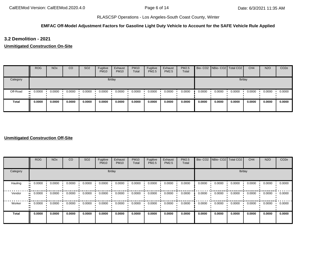### **EMFAC Off-Model Adjustment Factors for Gasoline Light Duty Vehicle to Account for the SAFE Vehicle Rule Applied**

**3.2 Demolition - 2021**

**Unmitigated Construction On-Site**

|          | <b>ROG</b> | <b>NO<sub>x</sub></b> | <sub>CO</sub> | SO <sub>2</sub> | Fugitive<br><b>PM10</b> | Exhaust<br><b>PM10</b> | <b>PM10</b><br>Total | Fugitive<br>PM2.5 | Exhaust<br><b>PM2.5</b> | <b>PM2.5</b><br>Total |        | Bio- CO2 NBio- CO2 Total CO2 |        | CH <sub>4</sub> | <b>N2O</b> | CO <sub>2</sub> e |
|----------|------------|-----------------------|---------------|-----------------|-------------------------|------------------------|----------------------|-------------------|-------------------------|-----------------------|--------|------------------------------|--------|-----------------|------------|-------------------|
| Category |            |                       |               |                 |                         | lb/day                 |                      |                   |                         |                       |        |                              |        | lb/day          |            |                   |
| Off-Road | 0.0000<br> | 0.0000                | 0.0000        | 0.0000          | 0.0000                  | 0.0000                 | 0.0000               | 0.0000            | 0.0000                  | 0.0000                | 0.0000 | 0.0000                       | 0.0000 | 0.0000          | 0.0000     | 0.0000            |
| Total    | 0.0000     | 0.0000                | 0.0000        | 0.0000          | 0.0000                  | 0.0000                 | 0.0000               | 0.0000            | 0.0000                  | 0.0000                | 0.0000 | 0.0000                       | 0.0000 | 0.0000          | 0.0000     | 0.0000            |

### **Unmitigated Construction Off-Site**

|                     | <b>ROG</b> | <b>NO<sub>x</sub></b> | CO     | SO <sub>2</sub> | Fugitive<br><b>PM10</b> | Exhaust<br><b>PM10</b> | <b>PM10</b><br>Total | Fugitive<br>PM2.5 | Exhaust<br><b>PM2.5</b> | PM2.5<br>Total |        | Bio- CO2   NBio- CO2   Total CO2 |        | CH <sub>4</sub> | <b>N2O</b> | CO <sub>2e</sub> |
|---------------------|------------|-----------------------|--------|-----------------|-------------------------|------------------------|----------------------|-------------------|-------------------------|----------------|--------|----------------------------------|--------|-----------------|------------|------------------|
| Category            |            |                       |        |                 | lb/day                  |                        |                      |                   |                         |                |        |                                  | lb/day |                 |            |                  |
| Hauling<br>ш.       | 0.0000     | 0.0000                | 0.0000 | 0.0000          | 0.0000                  | 0.0000                 | 0.0000               | 0.0000            | 0.0000                  | 0.0000         | 0.0000 | 0.0000                           | 0.0000 | 0.0000          | 0.0000     | 0.0000           |
| Vendor<br>$\bullet$ | 0.0000     | 0.0000                | 0.0000 | 0.0000          | 0.0000                  | 0.0000                 | 0.0000               | 0.0000            | 0.0000                  | 0.0000         | 0.0000 | 0.0000                           | 0.0000 | 0.0000          | 0.0000     | 0.0000           |
| Worker              | 0.0000     | 0.0000                | 0.0000 | 0.0000          | 0.0000                  | 0.0000                 | 0.0000               | 0.0000            | 0.0000                  | 0.0000         | 0.0000 | 0.0000                           | 0.0000 | 0.0000          | 0.0000     | 0.0000           |
| Total               | 0.0000     | 0.0000                | 0.0000 | 0.0000          | 0.0000                  | 0.0000                 | 0.0000               | 0.0000            | 0.0000                  | 0.0000         | 0.0000 | 0.0000                           | 0.0000 | 0.0000          | 0.0000     | 0.0000           |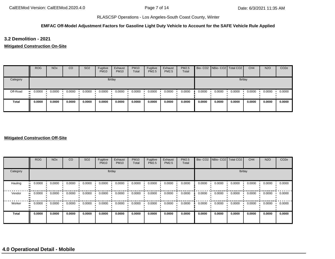### **EMFAC Off-Model Adjustment Factors for Gasoline Light Duty Vehicle to Account for the SAFE Vehicle Rule Applied**

**3.2 Demolition - 2021**

**Mitigated Construction On-Site**

|              | <b>ROG</b> | <b>NO<sub>x</sub></b> | CO     | SO <sub>2</sub> | Fugitive<br><b>PM10</b> | Exhaust<br><b>PM10</b> | <b>PM10</b><br>Total | Fugitive<br>PM2.5 | Exhaust<br><b>PM2.5</b> | PM2.5<br>Total |        | Bio- CO2 NBio- CO2 Total CO2 |        | CH <sub>4</sub> | <b>N2O</b> | CO <sub>2e</sub> |
|--------------|------------|-----------------------|--------|-----------------|-------------------------|------------------------|----------------------|-------------------|-------------------------|----------------|--------|------------------------------|--------|-----------------|------------|------------------|
| Category     |            |                       |        |                 |                         | lb/day                 |                      |                   |                         |                |        |                              | lb/day |                 |            |                  |
| Off-Road     | 0.0000<br> | 0.0000                | 0.0000 | 0.0000          | 0.0000                  | 0.0000                 | 0.0000               | 0.0000            | 0.0000                  | 0.0000         | 0.0000 | 0.0000                       | 0.0000 | 0.0000          | 0.0000     | 0.0000           |
| <b>Total</b> | 0.0000     | 0.0000                | 0.0000 | 0.0000          | 0.0000                  | 0.0000                 | 0.0000               | 0.0000            | 0.0000                  | 0.0000         | 0.0000 | 0.0000                       | 0.0000 | 0.0000          | 0.0000     | 0.0000           |

#### **Mitigated Construction Off-Site**

|                         | <b>ROG</b>               | <b>NO<sub>x</sub></b> | CO     | SO <sub>2</sub> | Fugitive<br><b>PM10</b> | Exhaust<br><b>PM10</b> | <b>PM10</b><br>Total | Fugitive<br><b>PM2.5</b> | Exhaust<br><b>PM2.5</b> | <b>PM2.5</b><br>Total |        | Bio- CO2 NBio- CO2 Total CO2 |        | CH <sub>4</sub> | <b>N2O</b> | CO <sub>2e</sub> |
|-------------------------|--------------------------|-----------------------|--------|-----------------|-------------------------|------------------------|----------------------|--------------------------|-------------------------|-----------------------|--------|------------------------------|--------|-----------------|------------|------------------|
| Category                |                          |                       |        |                 |                         | lb/day                 |                      |                          |                         |                       |        |                              | lb/day |                 |            |                  |
| Hauling<br>$\mathbf{u}$ | 0.0000                   | 0.0000                | 0.0000 | 0.0000          | 0.0000                  | 0.0000                 | 0.0000               | 0.0000                   | 0.0000                  | 0.0000                | 0.0000 | 0.0000                       | 0.0000 | 0.0000          | 0.0000     | 0.0000           |
| Vendor                  | 0.0000                   | 0.0000                | 0.0000 | 0.0000          | 0.0000                  | 0.0000                 | 0.0000               | 0.0000                   | 0.0000                  | 0.0000                | 0.0000 | 0.0000                       | 0.0000 | 0.0000          | 0.0000     | 0.0000           |
| Worker                  | 0.0000<br>$\blacksquare$ | 0.0000                | 0.0000 | 0.0000          | 0.0000                  | 0.0000                 | 0.0000               | 0.0000                   | 0.0000                  | 0.0000                | 0.0000 | 0.0000                       | 0.0000 | 0.0000          | 0.0000     | 0.0000           |
| <b>Total</b>            | 0.0000                   | 0.0000                | 0.0000 | 0.0000          | 0.0000                  | 0.0000                 | 0.0000               | 0.0000                   | 0.0000                  | 0.0000                | 0.0000 | 0.0000                       | 0.0000 | 0.0000          | 0.0000     | 0.0000           |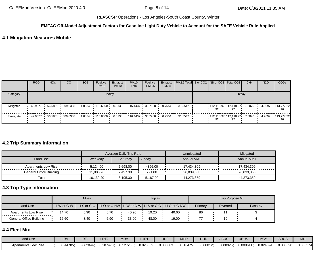#### **EMFAC Off-Model Adjustment Factors for Gasoline Light Duty Vehicle to Account for the SAFE Vehicle Rule Applied**

## **4.1 Mitigation Measures Mobile**

|             | <b>ROG</b> | <b>NO<sub>x</sub></b> | <sub>CO</sub>      | SO <sub>2</sub> | Fugitive<br><b>PM10</b>  | Exhaust<br><b>PM10</b> | <b>PM10</b><br>Total      | Fugitive<br>PM2.5 | Exhaust<br>PM2.5 | PM2.5 Total Bio- CO2   NBio- CO2   Total CO2 |                              |        | CH <sub>4</sub> | <b>N2O</b> | CO <sub>2</sub> e   |
|-------------|------------|-----------------------|--------------------|-----------------|--------------------------|------------------------|---------------------------|-------------------|------------------|----------------------------------------------|------------------------------|--------|-----------------|------------|---------------------|
| Category    |            |                       |                    |                 |                          | lb/day                 |                           |                   |                  |                                              |                              | lb/day |                 |            |                     |
| Mitigated   | $-49.9677$ |                       | 56.5861 509.6338 ' | 1.0884          | $\cdot$ 115.6300 $\cdot$ | 0.8138                 | $116.4437 + 30.7988$      |                   | 0.7554           | 31.5542                                      | 112,118.97 112,118.97<br>92. |        | 7.8070          | 4.9097     | 113,777.22<br>96    |
| Unmitigated | $-49.9677$ |                       |                    | 1.0884          | $+115.6300$              |                        | 0.8138  116.4437  30.7988 |                   | 0.7554           | 31.5542                                      | 112,118.97 112,118.97 7.8070 |        |                 | 4.9097     | $-113,777.22$<br>96 |

#### **4.2 Trip Summary Information**

|                         |           | Average Daily Trip Rate |          | Unmitigated       | Mitigated         |
|-------------------------|-----------|-------------------------|----------|-------------------|-------------------|
| Land Use                | Weekday   | Saturdav                | Sunday   | <b>Annual VMT</b> | <b>Annual VMT</b> |
| Apartments Low Rise     | 5.124.00  | 5.698.00                | 4396.00  | 17.434.309        | 17,434,309        |
| General Office Building | 11.006.20 | 2.497.30                | 791.00   | 26.839.050        | 26.839.050        |
| Total                   | 16,130.20 | 8.195.30                | 5,187.00 | 44,273,359        | 44,273,359        |

# **4.3 Trip Type Information**

|                         |            | <b>Miles</b>             |      |       | Trip % |                                                       |         | Trip Purpose %  |         |
|-------------------------|------------|--------------------------|------|-------|--------|-------------------------------------------------------|---------|-----------------|---------|
| Land Use                | H-W or C-W | $H-S$ or C-C $\parallel$ |      |       |        | ╹ Н-О or C-NW ┃H-W or C-W┃ H-S or C-C ┃ H-O or C-NW │ | Primary | <b>Diverted</b> | Pass-by |
| Apartments Low Rise     | 14.70      | 5.90                     | 8.70 | 40.20 | 19.20  | 40.60                                                 | 86      |                 |         |
| General Office Building | 16.60      | 8.40                     | 6.90 | 33.00 | 48.00  | 19.00                                                 |         | 19              |         |

### **4.4 Fleet Mix**

| Land Use                   | <b>LDA</b> | LDT1     | LDT <sub>2</sub> | <b>MDV</b> | LHD1     | LHD <sub>2</sub> | <b>MHD</b> | HHD      | OBUS     | UBUS    | <b>MCY</b> | <b>SBUS</b> | <b>MH</b> |
|----------------------------|------------|----------|------------------|------------|----------|------------------|------------|----------|----------|---------|------------|-------------|-----------|
| <b>Apartments Low Rise</b> | J.544785'  | 0.06284/ | 0.187478         | 1.127235   | 0.023089 | 0.006083         | 0.010475   | 0.008012 | J.000925 | 0.00061 | 0.024394   | 0.000698    | 0.003374  |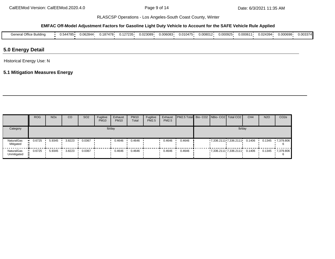#### **EMFAC Off-Model Adjustment Factors for Gasoline Light Duty Vehicle to Account for the SAFE Vehicle Rule Applied**

| $\sim$ $\sim$<br>.<br>ener.<br>Office Building | . .—~<br>J.544785. | 0.062844 | 0.187478 | 0.127235 | 0.023089 | 0.006083 | 0.010475 | 0.008012 | 0.000925 | 0.00061 | 0.024394 | ا 000698. | 0.003374 |
|------------------------------------------------|--------------------|----------|----------|----------|----------|----------|----------|----------|----------|---------|----------|-----------|----------|
|                                                |                    |          |          |          |          |          |          |          |          |         |          |           |          |

## **5.0 Energy Detail**

Historical Energy Use: N

# **5.1 Mitigation Measures Energy**

|                           | <b>ROG</b> | <b>NO<sub>x</sub></b> | CO     | SO <sub>2</sub> | Fugitive<br><b>PM10</b> | Exhaust<br><b>PM10</b> | <b>PM10</b><br>Total | Fugitive<br>PM2.5 | Exhaust<br>PM2.5 | <b>PM2.5 Total</b> Bio- CO2 NBio- CO2 Total CO2 |  |                                     | CH <sub>4</sub> | <b>N2O</b> | CO <sub>2e</sub> |
|---------------------------|------------|-----------------------|--------|-----------------|-------------------------|------------------------|----------------------|-------------------|------------------|-------------------------------------------------|--|-------------------------------------|-----------------|------------|------------------|
| Category                  |            |                       |        |                 | lb/day                  |                        |                      |                   |                  |                                                 |  | lb/day                              |                 |            |                  |
| NaturalGas<br>Mitigated   | 0.6725     | 5.9345                | 3.8223 | 0.0367          |                         | 0.4646                 | 0.4646               |                   | 0.4646           | 0.4646                                          |  | 7,336.2111 7,336.2111               | 0.1406          | 0.1345     | 7,379.806        |
| NaturalGas<br>Unmitigated | 0.6725     | 5.9345                | 3.8223 | 0.0367          |                         | 0.4646                 | 0.4646               |                   | 0.4646           | 0.4646                                          |  | $7,336.2111 \cdot 7,336.2111 \cdot$ | 0.1406          | 0.1345     | 7,379.806<br>h   |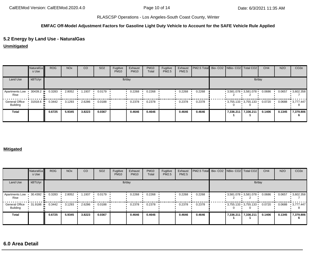# **EMFAC Off-Model Adjustment Factors for Gasoline Light Duty Vehicle to Account for the SAFE Vehicle Rule Applied**

# **5.2 Energy by Land Use - NaturalGas**

**Unmitigated**

|                                   | <b>NaturalGa</b><br>s Use | <b>ROG</b> | <b>NO<sub>x</sub></b> | CO     | SO <sub>2</sub> | Fugitive<br><b>PM10</b> | Exhaust<br><b>PM10</b> | <b>PM10</b><br>Total | Fugitive<br>PM2.5 | Exhaust<br>PM2.5 | PM2.5 Total Bio- CO2 NBio- CO2   Total CO2 |                            |        | CH <sub>4</sub> | <b>N2O</b> | CO <sub>2e</sub> |
|-----------------------------------|---------------------------|------------|-----------------------|--------|-----------------|-------------------------|------------------------|----------------------|-------------------|------------------|--------------------------------------------|----------------------------|--------|-----------------|------------|------------------|
| Land Use                          | kBTU/yr                   |            |                       |        |                 |                         | lb/day                 |                      |                   |                  |                                            |                            | lb/day |                 |            |                  |
| Apartments Low<br>Rise            | 30439.2                   | 0.3283     | 2.8052                | .1937  | 0.0179          |                         | 0.2268                 | 0.2268               |                   | 0.2268           | 0.2268                                     | $-3.581.078 + 3.581.078 +$ |        | 0.0686          | 0.0657     | $-3,602.358$     |
| <b>General Office</b><br>Building | 31918.6                   | 0.3442     | 3.1293                | 2.6286 | 0.0188          |                         | 0.2378                 | 0.2378               |                   | 0.2378           | 0.2378                                     | $-3,755.133 - 3,755.133 -$ |        | 0.0720          | 0.0688     | 3.777.447        |
| <b>Total</b>                      |                           | 0.6725     | 5.9345                | 3.8223 | 0.0367          |                         | 0.4646                 | 0.4646               |                   | 0.4646           | 0.4646                                     | 7,336.211 7,336.211        |        | 0.1406          | 0.1345     | 7,379.806        |

#### **Mitigated**

|                                          | NaturalGa<br>s Use | <b>ROG</b> | <b>NO<sub>x</sub></b> | CO     | SO <sub>2</sub> | Fugitive<br><b>PM10</b> | Exhaust<br><b>PM10</b> | <b>PM10</b><br>Total | Fugitive<br>PM2.5 | Exhaust<br>PM2.5 | PM2.5 Total Bio- CO2 NBio- CO2 Total CO2 |                                   |        | CH <sub>4</sub> | <b>N2O</b> | CO <sub>2e</sub> |
|------------------------------------------|--------------------|------------|-----------------------|--------|-----------------|-------------------------|------------------------|----------------------|-------------------|------------------|------------------------------------------|-----------------------------------|--------|-----------------|------------|------------------|
| Land Use                                 | kBTU/yr            |            |                       |        |                 | lb/day                  |                        |                      |                   |                  |                                          |                                   | lb/day |                 |            |                  |
| Apartments Low<br>Rise                   | 30.4392            | 0.3283     | 2.8052                | 1.1937 | 0.0179          |                         | 0.2268                 | 0.2268               |                   | 0.2268           | 0.2268                                   | $-3.581.078 + 3.581.078 +$        |        | 0.0686          | 0.0657     | $-3,602.358$     |
| <b>General Office</b><br><b>Building</b> | 31.9186            | 0.3442     | 3.1293                | 2.6286 | 0.0188          |                         | 0.2378                 | 0.2378               |                   | 0.2378           | 0.2378                                   | $-3.755.133 + 3.755.133 + 0.0720$ |        |                 | 0.0688     | $-3.777.447$     |
| <b>Total</b>                             |                    | 0.6725     | 5.9345                | 3.8223 | 0.0367          |                         | 0.4646                 | 0.4646               |                   | 0.4646           | 0.4646                                   | 7,336.211 7,336.211               |        | 0.1406          | 0.1345     | 7,379.806        |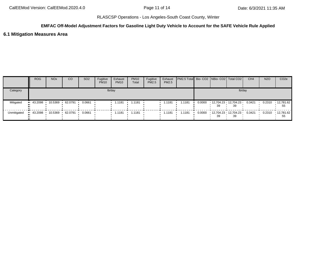### **EMFAC Off-Model Adjustment Factors for Gasoline Light Duty Vehicle to Account for the SAFE Vehicle Rule Applied**

### **6.1 Mitigation Measures Area**

|             | <b>ROG</b>             | <b>NO<sub>x</sub></b> | CO        | SO <sub>2</sub> | Fugitive<br><b>PM10</b> | Exhaust<br><b>PM10</b> | <b>PM10</b><br>Total | Fugitive<br><b>PM2.5</b> | Exhaust<br><b>PM2.5</b> | PM2.5 Total Bio- CO2 NBio- CO2 Total CO2 |                                              |        | CH <sub>4</sub> | <b>N2O</b> | CO <sub>2</sub> e       |
|-------------|------------------------|-----------------------|-----------|-----------------|-------------------------|------------------------|----------------------|--------------------------|-------------------------|------------------------------------------|----------------------------------------------|--------|-----------------|------------|-------------------------|
| Category    |                        |                       |           |                 |                         | lb/day                 |                      |                          |                         |                                          |                                              | lb/day |                 |            |                         |
| Mitigated   | $\blacksquare$ 43.2098 | 10.5369 ·             | 62.0791   | 0.0661          |                         | 1.1181                 | 1.1181               |                          | 1.1181                  | 1.1181                                   | $0.0000$ 12.704.23 12.704.23 0.3421          | 39     |                 | 0.2310     | $\cdot$ 12,781.62<br>55 |
| Unmitigated | 43.2098                | 10.5369               | 62.0791 • | 0.0661          |                         |                        |                      |                          | 1.1181                  | 1.1181                                   | $0.0000$ 12,704.23 12,704.23 0.3421 ·<br>-39 | 39     |                 | 0.2310     | ▪ 12,781.62丨<br>55      |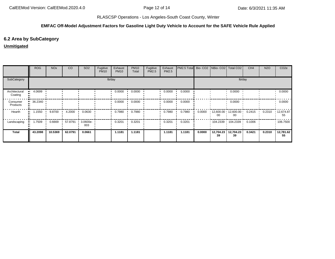### **EMFAC Off-Model Adjustment Factors for Gasoline Light Duty Vehicle to Account for the SAFE Vehicle Rule Applied**

## **6.2 Area by SubCategory**

## **Unmitigated**

|                          | <b>ROG</b>      | <b>NO<sub>x</sub></b> | CO      | SO <sub>2</sub>                 | Fugitive<br><b>PM10</b> | Exhaust<br><b>PM10</b> | <b>PM10</b><br>Total | Fugitive<br>PM2.5 | Exhaust<br>PM2.5 | PM2.5 Total Bio- CO2 NBio- CO2 Total CO2 |        |                                             |                 | CH <sub>4</sub> | <b>N2O</b> | CO <sub>2e</sub>        |
|--------------------------|-----------------|-----------------------|---------|---------------------------------|-------------------------|------------------------|----------------------|-------------------|------------------|------------------------------------------|--------|---------------------------------------------|-----------------|-----------------|------------|-------------------------|
| SubCategory              |                 |                       |         |                                 |                         | lb/day                 |                      |                   |                  |                                          |        |                                             | lb/day          |                 |            |                         |
| Architectural<br>Coating | 4.0699          |                       |         |                                 |                         | 0.0000                 | 0.0000               |                   | 0.0000           | 0.0000                                   |        |                                             | 0.0000          |                 |            | 0.0000                  |
| Consumer<br>Products     | $\cdot$ 36.2340 |                       |         |                                 |                         | 0.0000                 | 0.0000               |                   | 0.0000           | 0.0000                                   |        |                                             | 0.0000          |                 |            | 0.0000                  |
| Hearth                   | 1.1550          | 9.8700                | 4.2000  | 0.0630                          |                         | 0.7980                 | 0.7980               |                   | 0.7980           | 0.7980                                   | 0.0000 | $12,600.00$ $12,600.00$ 0.2415 0.2310<br>00 | 00              |                 |            | $\cdot$ 12,674.87<br>55 |
| Landscaping              | 1.7509          | 0.6669                | 57.8791 | $\cdot$ 3.0600e- $\cdot$<br>003 |                         | 0.3201                 | 0.3201               |                   | 0.3201           | 0.3201                                   |        | $104.2339$ $104.2339$ 0.1006                |                 |                 |            | 106.7500                |
| <b>Total</b>             | 43.2098         | 10.5369               | 62.0791 | 0.0661                          |                         | 1.1181                 | 1.1181               |                   | 1.1181           | 1.1181                                   | 0.0000 | 12,704.23<br>39                             | 12,704.23<br>39 | 0.3421          | 0.2310     | 12,781.62<br>55         |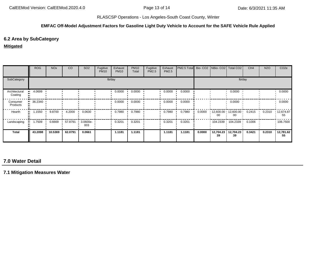### **EMFAC Off-Model Adjustment Factors for Gasoline Light Duty Vehicle to Account for the SAFE Vehicle Rule Applied**

# **6.2 Area by SubCategory**

#### **Mitigated**

|                          | <b>ROG</b>             | <b>NO<sub>x</sub></b> | CO      | SO <sub>2</sub>    | Fugitive<br><b>PM10</b> | Exhaust<br><b>PM10</b> | <b>PM10</b><br>Total | Fugitive<br>PM2.5 | Exhaust<br><b>PM2.5</b> | PM2.5 Total Bio- CO2 NBio- CO2 Total CO2 |        |                             |                 | CH <sub>4</sub> | <b>N2O</b> | CO <sub>2e</sub> |
|--------------------------|------------------------|-----------------------|---------|--------------------|-------------------------|------------------------|----------------------|-------------------|-------------------------|------------------------------------------|--------|-----------------------------|-----------------|-----------------|------------|------------------|
| SubCategory              |                        |                       |         |                    |                         | lb/day                 |                      |                   |                         |                                          |        |                             |                 | lb/day          |            |                  |
| Architectural<br>Coating | 4.0699                 |                       |         |                    |                         | 0.0000                 | 0.0000               |                   | 0.0000                  | 0.0000                                   |        |                             | 0.0000          |                 |            | 0.0000           |
| Consumer<br>Products     | $\blacksquare$ 36.2340 |                       |         |                    |                         | 0.0000                 | 0.0000               |                   | 0.0000                  | 0.0000                                   |        |                             | 0.0000          |                 |            | 0.0000           |
| Hearth                   | 1.1550                 | 9.8700                | 4.2000  | 0.0630             |                         | 0.7980                 | 0.7980               |                   | 0.7980                  | 0.7980                                   | 0.0000 | $12,600.00$ 12,600.00<br>00 | 00              | 0.2415          | 0.2310     | 12,674.87<br>55  |
| Landscaping              | 1.7509                 | 0.6669                | 57.8791 | $3.0600e -$<br>003 |                         | 0.3201                 | 0.3201               |                   | 0.3201                  | 0.3201                                   |        | $104.2339$ 104.2339 ·       |                 | 0.1006          |            | $\cdot$ 106.7500 |
| Total                    | 43.2098                | 10.5369               | 62.0791 | 0.0661             |                         | 1.1181                 | 1.1181               |                   | 1.1181                  | 1.1181                                   | 0.0000 | 12,704.23<br>39             | 12,704.23<br>39 | 0.3421          | 0.2310     | 12,781.62<br>55  |

# **7.0 Water Detail**

**7.1 Mitigation Measures Water**